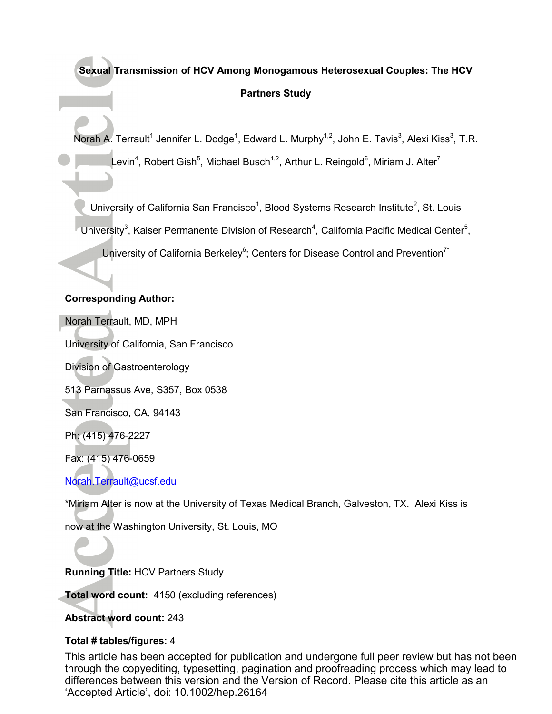# **Sexual Transmission of HCV Among Monogamous Heterosexual Couples: The HCV Partners Study**

Norah A. Terrault<sup>1</sup> Jennifer L. Dodge<sup>1</sup>, Edward L. Murphy<sup>1,2</sup>, John E. Tavis<sup>3</sup>, Alexi Kiss<sup>3</sup>, T.R. Levin<sup>4</sup>, Robert Gish<sup>5</sup>, Michael Busch<sup>1,2</sup>, Arthur L. Reingold<sup>6</sup>, Miriam J. Alter<sup>7</sup>

University of California San Francisco<sup>1</sup>, Blood Systems Research Institute<sup>2</sup>, St. Louis

University<sup>3</sup>, Kaiser Permanente Division of Research<sup>4</sup>, California Pacific Medical Center<sup>5</sup>,

University of California Berkeley<sup>6</sup>; Centers for Disease Control and Prevention<sup>7\*</sup>

## **Corresponding Author:**

Norah Terrault, MD, MPH

University of California, San Francisco

Division of Gastroenterology

513 Parnassus Ave, S357, Box 0538

San Francisco, CA, 94143

Ph: (415) 476-2227

Fax: (415) 476-0659

Norah.Terrault@ucsf.edu

\*Miriam Alter is now at the University of Texas Medical Branch, Galveston, TX. Alexi Kiss is

now at the Washington University, St. Louis, MO

**Running Title:** HCV Partners Study

**Total word count:** 4150 (excluding references)

**Abstract word count:** 243

## **Total # tables/figures:** 4

This article has been accepted for publication and undergone full peer review but has not been through the copyediting, typesetting, pagination and proofreading process which may lead to differences between this version and the Version of Record. Please cite this article as an 'Accepted Article', doi: 10.1002/hep.26164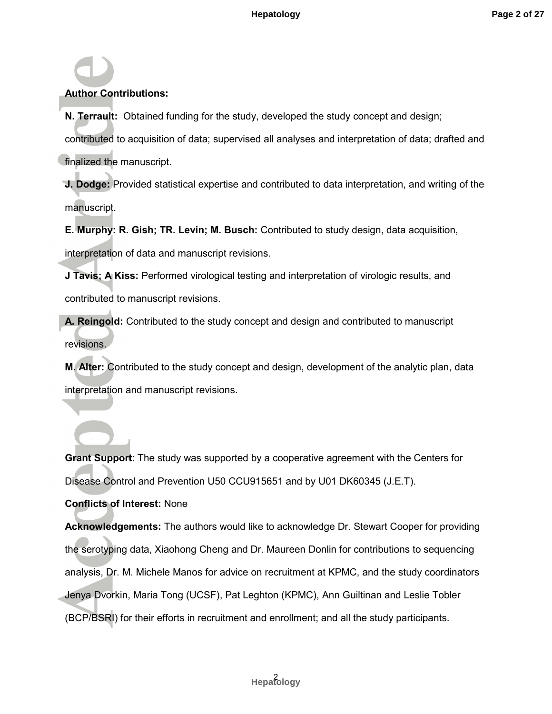## **Author Contributions:**

**N. Terrault:** Obtained funding for the study, developed the study concept and design; contributed to acquisition of data; supervised all analyses and interpretation of data; drafted and finalized the manuscript.

**J. Dodge:** Provided statistical expertise and contributed to data interpretation, and writing of the manuscript.

**E. Murphy: R. Gish; TR. Levin; M. Busch:** Contributed to study design, data acquisition,

interpretation of data and manuscript revisions.

**J Tavis; A Kiss:** Performed virological testing and interpretation of virologic results, and contributed to manuscript revisions.

**A. Reingold:** Contributed to the study concept and design and contributed to manuscript revisions.

**M. Alter:** Contributed to the study concept and design, development of the analytic plan, data interpretation and manuscript revisions.

**Grant Support**: The study was supported by a cooperative agreement with the Centers for Disease Control and Prevention U50 CCU915651 and by U01 DK60345 (J.E.T).

## **Conflicts of Interest:** None

**Acknowledgements:** The authors would like to acknowledge Dr. Stewart Cooper for providing the serotyping data, Xiaohong Cheng and Dr. Maureen Donlin for contributions to sequencing analysis, Dr. M. Michele Manos for advice on recruitment at KPMC, and the study coordinators Jenya Dvorkin, Maria Tong (UCSF), Pat Leghton (KPMC), Ann Guiltinan and Leslie Tobler (BCP/BSRI) for their efforts in recruitment and enrollment; and all the study participants.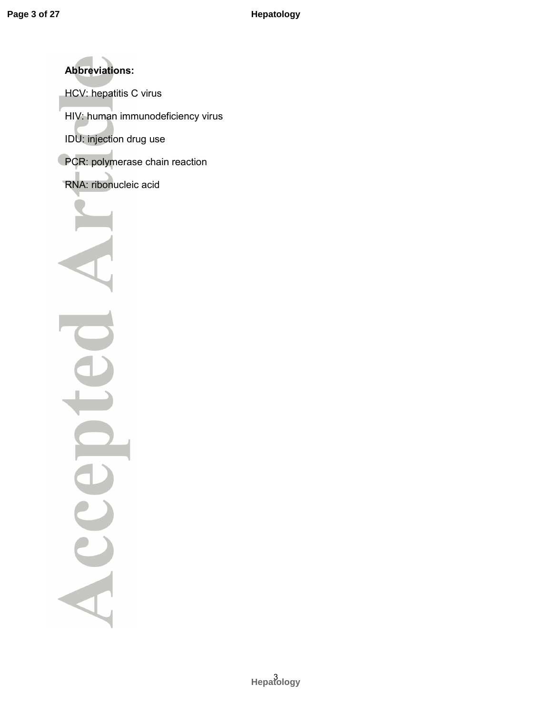**Abbreviations:** HCV: hepatitis C virus HIV: human immunodeficiency virus IDU: injection drug use PCR: polymerase chain reaction RNA: ribonucleic acid  $\frac{1}{\sqrt{2}}$ Acce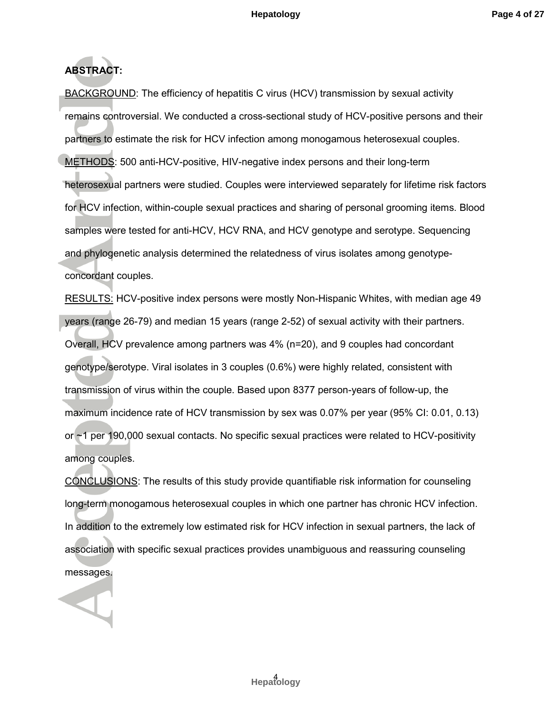# **ABSTRACT:**

BACKGROUND: The efficiency of hepatitis C virus (HCV) transmission by sexual activity remains controversial. We conducted a cross-sectional study of HCV-positive persons and their partners to estimate the risk for HCV infection among monogamous heterosexual couples. METHODS: 500 anti-HCV-positive, HIV-negative index persons and their long-term heterosexual partners were studied. Couples were interviewed separately for lifetime risk factors for HCV infection, within-couple sexual practices and sharing of personal grooming items. Blood samples were tested for anti-HCV, HCV RNA, and HCV genotype and serotype. Sequencing and phylogenetic analysis determined the relatedness of virus isolates among genotypeconcordant couples.

RESULTS: HCV-positive index persons were mostly Non-Hispanic Whites, with median age 49 years (range 26-79) and median 15 years (range 2-52) of sexual activity with their partners. Overall, HCV prevalence among partners was 4% (n=20), and 9 couples had concordant genotype/serotype. Viral isolates in 3 couples (0.6%) were highly related, consistent with transmission of virus within the couple. Based upon 8377 person-years of follow-up, the maximum incidence rate of HCV transmission by sex was 0.07% per year (95% CI: 0.01, 0.13) or ~1 per 190,000 sexual contacts. No specific sexual practices were related to HCV-positivity among couples.

CONCLUSIONS: The results of this study provide quantifiable risk information for counseling long-term monogamous heterosexual couples in which one partner has chronic HCV infection. In addition to the extremely low estimated risk for HCV infection in sexual partners, the lack of association with specific sexual practices provides unambiguous and reassuring counseling messages.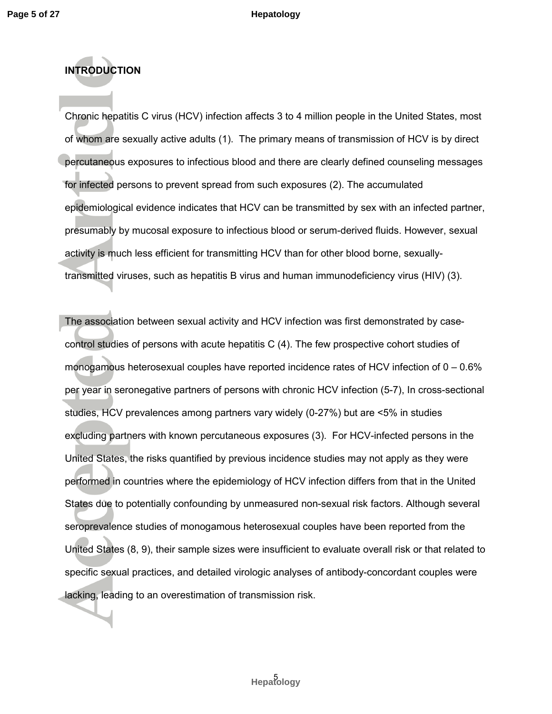## **INTRODUCTION**

Chronic hepatitis C virus (HCV) infection affects 3 to 4 million people in the United States, most of whom are sexually active adults (1). The primary means of transmission of HCV is by direct percutaneous exposures to infectious blood and there are clearly defined counseling messages for infected persons to prevent spread from such exposures (2). The accumulated epidemiological evidence indicates that HCV can be transmitted by sex with an infected partner, presumably by mucosal exposure to infectious blood or serum-derived fluids. However, sexual activity is much less efficient for transmitting HCV than for other blood borne, sexuallytransmitted viruses, such as hepatitis B virus and human immunodeficiency virus (HIV) (3).

The association between sexual activity and HCV infection was first demonstrated by casecontrol studies of persons with acute hepatitis C (4). The few prospective cohort studies of monogamous heterosexual couples have reported incidence rates of HCV infection of 0 – 0.6% per year in seronegative partners of persons with chronic HCV infection (5-7), In cross-sectional studies, HCV prevalences among partners vary widely (0-27%) but are <5% in studies excluding partners with known percutaneous exposures (3). For HCV-infected persons in the United States, the risks quantified by previous incidence studies may not apply as they were performed in countries where the epidemiology of HCV infection differs from that in the United States due to potentially confounding by unmeasured non-sexual risk factors. Although several seroprevalence studies of monogamous heterosexual couples have been reported from the United States (8, 9), their sample sizes were insufficient to evaluate overall risk or that related to specific sexual practices, and detailed virologic analyses of antibody-concordant couples were lacking, leading to an overestimation of transmission risk.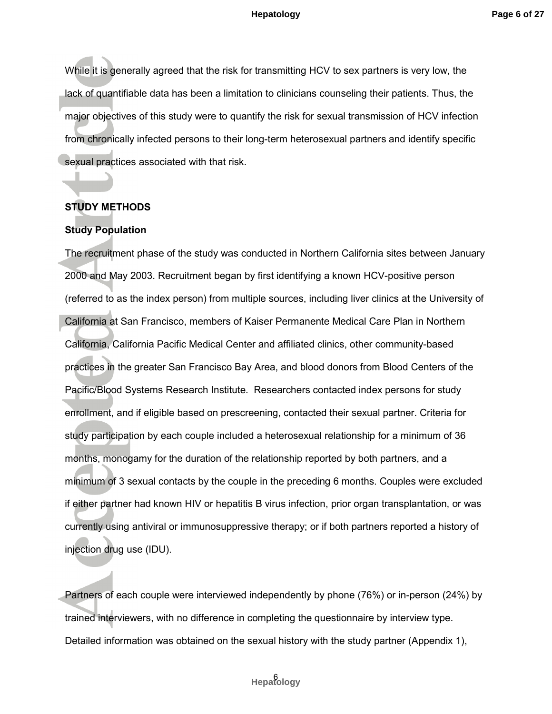While it is generally agreed that the risk for transmitting HCV to sex partners is very low, the lack of quantifiable data has been a limitation to clinicians counseling their patients. Thus, the major objectives of this study were to quantify the risk for sexual transmission of HCV infection from chronically infected persons to their long-term heterosexual partners and identify specific sexual practices associated with that risk.

### **STUDY METHODS**

#### **Study Population**

The recruitment phase of the study was conducted in Northern California sites between January 2000 and May 2003. Recruitment began by first identifying a known HCV-positive person (referred to as the index person) from multiple sources, including liver clinics at the University of California at San Francisco, members of Kaiser Permanente Medical Care Plan in Northern California, California Pacific Medical Center and affiliated clinics, other community-based practices in the greater San Francisco Bay Area, and blood donors from Blood Centers of the Pacific/Blood Systems Research Institute. Researchers contacted index persons for study enrollment, and if eligible based on prescreening, contacted their sexual partner. Criteria for study participation by each couple included a heterosexual relationship for a minimum of 36 months, monogamy for the duration of the relationship reported by both partners, and a minimum of 3 sexual contacts by the couple in the preceding 6 months. Couples were excluded if either partner had known HIV or hepatitis B virus infection, prior organ transplantation, or was currently using antiviral or immunosuppressive therapy; or if both partners reported a history of injection drug use (IDU).

Partners of each couple were interviewed independently by phone (76%) or in-person (24%) by trained interviewers, with no difference in completing the questionnaire by interview type. Detailed information was obtained on the sexual history with the study partner (Appendix 1),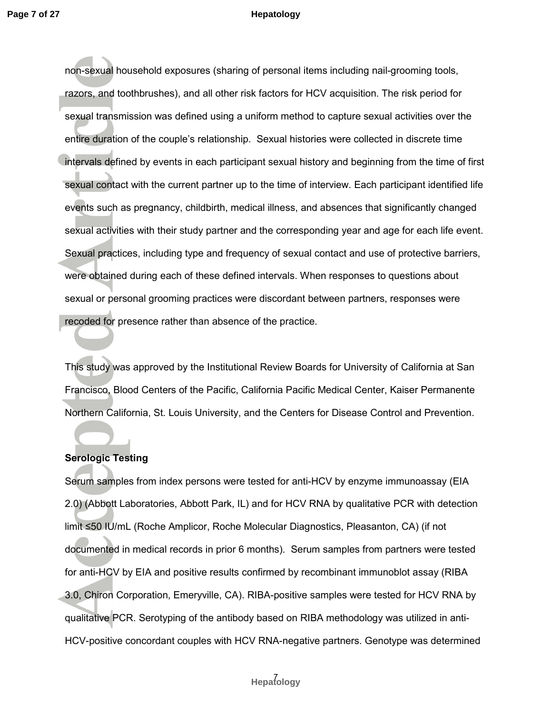non-sexual household exposures (sharing of personal items including nail-grooming tools, razors, and toothbrushes), and all other risk factors for HCV acquisition. The risk period for sexual transmission was defined using a uniform method to capture sexual activities over the entire duration of the couple's relationship. Sexual histories were collected in discrete time intervals defined by events in each participant sexual history and beginning from the time of first sexual contact with the current partner up to the time of interview. Each participant identified life events such as pregnancy, childbirth, medical illness, and absences that significantly changed sexual activities with their study partner and the corresponding year and age for each life event. Sexual practices, including type and frequency of sexual contact and use of protective barriers, were obtained during each of these defined intervals. When responses to questions about sexual or personal grooming practices were discordant between partners, responses were recoded for presence rather than absence of the practice.

This study was approved by the Institutional Review Boards for University of California at San Francisco, Blood Centers of the Pacific, California Pacific Medical Center, Kaiser Permanente Northern California, St. Louis University, and the Centers for Disease Control and Prevention.

## **Serologic Testing**

Serum samples from index persons were tested for anti-HCV by enzyme immunoassay (EIA 2.0) (Abbott Laboratories, Abbott Park, IL) and for HCV RNA by qualitative PCR with detection limit ≤50 IU/mL (Roche Amplicor, Roche Molecular Diagnostics, Pleasanton, CA) (if not documented in medical records in prior 6 months). Serum samples from partners were tested for anti-HCV by EIA and positive results confirmed by recombinant immunoblot assay (RIBA 3.0, Chiron Corporation, Emeryville, CA). RIBA-positive samples were tested for HCV RNA by qualitative PCR. Serotyping of the antibody based on RIBA methodology was utilized in anti-HCV-positive concordant couples with HCV RNA-negative partners. Genotype was determined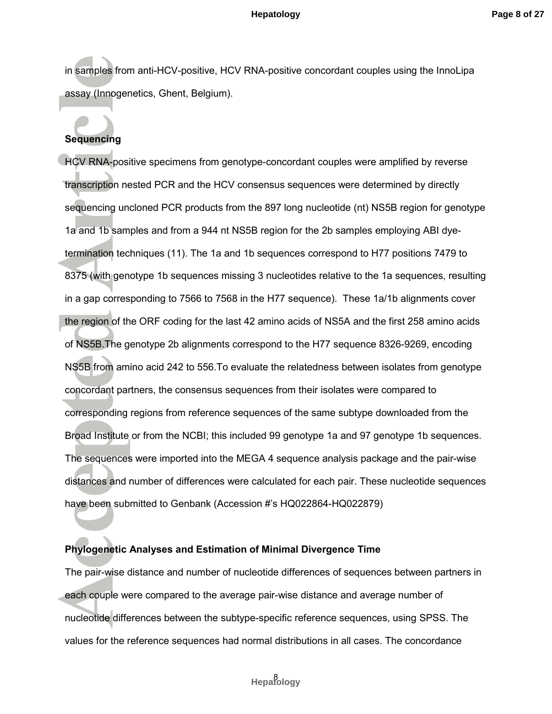in samples from anti-HCV-positive, HCV RNA-positive concordant couples using the InnoLipa assay (Innogenetics, Ghent, Belgium).

## **Sequencing**

HCV RNA-positive specimens from genotype-concordant couples were amplified by reverse transcription nested PCR and the HCV consensus sequences were determined by directly sequencing uncloned PCR products from the 897 long nucleotide (nt) NS5B region for genotype 1a and 1b samples and from a 944 nt NS5B region for the 2b samples employing ABI dyetermination techniques (11). The 1a and 1b sequences correspond to H77 positions 7479 to 8375 (with genotype 1b sequences missing 3 nucleotides relative to the 1a sequences, resulting in a gap corresponding to 7566 to 7568 in the H77 sequence). These 1a/1b alignments cover the region of the ORF coding for the last 42 amino acids of NS5A and the first 258 amino acids of NS5B.The genotype 2b alignments correspond to the H77 sequence 8326-9269, encoding NS5B from amino acid 242 to 556.To evaluate the relatedness between isolates from genotype concordant partners, the consensus sequences from their isolates were compared to corresponding regions from reference sequences of the same subtype downloaded from the Broad Institute or from the NCBI; this included 99 genotype 1a and 97 genotype 1b sequences. The sequences were imported into the MEGA 4 sequence analysis package and the pair-wise distances and number of differences were calculated for each pair. These nucleotide sequences have been submitted to Genbank (Accession #'s HQ022864-HQ022879)

### **Phylogenetic Analyses and Estimation of Minimal Divergence Time**

The pair-wise distance and number of nucleotide differences of sequences between partners in each couple were compared to the average pair-wise distance and average number of nucleotide differences between the subtype-specific reference sequences, using SPSS. The values for the reference sequences had normal distributions in all cases. The concordance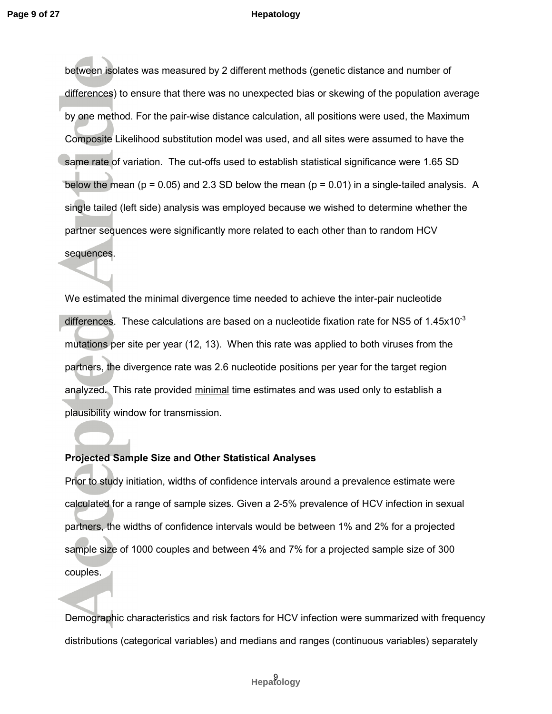between isolates was measured by 2 different methods (genetic distance and number of differences) to ensure that there was no unexpected bias or skewing of the population average by one method. For the pair-wise distance calculation, all positions were used, the Maximum Composite Likelihood substitution model was used, and all sites were assumed to have the same rate of variation. The cut-offs used to establish statistical significance were 1.65 SD below the mean ( $p = 0.05$ ) and 2.3 SD below the mean ( $p = 0.01$ ) in a single-tailed analysis. A single tailed (left side) analysis was employed because we wished to determine whether the partner sequences were significantly more related to each other than to random HCV sequences.

We estimated the minimal divergence time needed to achieve the inter-pair nucleotide differences. These calculations are based on a nucleotide fixation rate for NS5 of  $1.45x10^{-3}$ mutations per site per year (12, 13). When this rate was applied to both viruses from the partners, the divergence rate was 2.6 nucleotide positions per year for the target region analyzed. This rate provided minimal time estimates and was used only to establish a plausibility window for transmission.

### **Projected Sample Size and Other Statistical Analyses**

Prior to study initiation, widths of confidence intervals around a prevalence estimate were calculated for a range of sample sizes. Given a 2-5% prevalence of HCV infection in sexual partners, the widths of confidence intervals would be between 1% and 2% for a projected sample size of 1000 couples and between 4% and 7% for a projected sample size of 300 couples.

Demographic characteristics and risk factors for HCV infection were summarized with frequency distributions (categorical variables) and medians and ranges (continuous variables) separately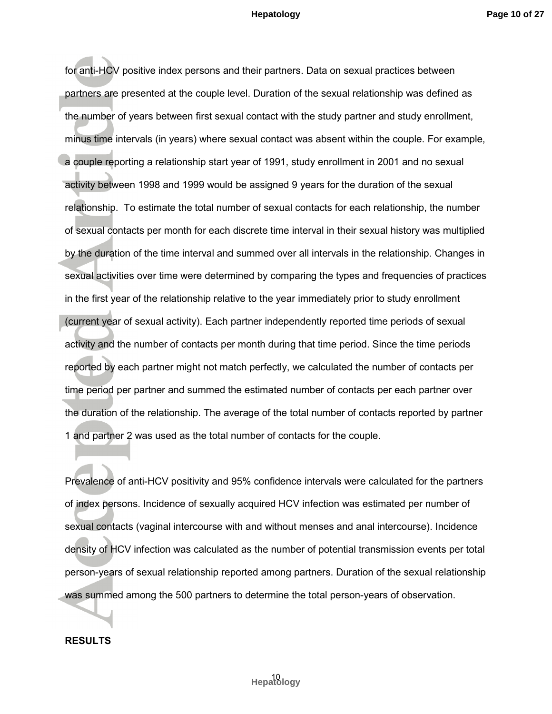for anti-HCV positive index persons and their partners. Data on sexual practices between partners are presented at the couple level. Duration of the sexual relationship was defined as the number of years between first sexual contact with the study partner and study enrollment, minus time intervals (in years) where sexual contact was absent within the couple. For example, a couple reporting a relationship start year of 1991, study enrollment in 2001 and no sexual activity between 1998 and 1999 would be assigned 9 years for the duration of the sexual relationship. To estimate the total number of sexual contacts for each relationship, the number of sexual contacts per month for each discrete time interval in their sexual history was multiplied by the duration of the time interval and summed over all intervals in the relationship. Changes in sexual activities over time were determined by comparing the types and frequencies of practices in the first year of the relationship relative to the year immediately prior to study enrollment (current year of sexual activity). Each partner independently reported time periods of sexual activity and the number of contacts per month during that time period. Since the time periods reported by each partner might not match perfectly, we calculated the number of contacts per time period per partner and summed the estimated number of contacts per each partner over the duration of the relationship. The average of the total number of contacts reported by partner 1 and partner 2 was used as the total number of contacts for the couple.

Prevalence of anti-HCV positivity and 95% confidence intervals were calculated for the partners of index persons. Incidence of sexually acquired HCV infection was estimated per number of sexual contacts (vaginal intercourse with and without menses and anal intercourse). Incidence density of HCV infection was calculated as the number of potential transmission events per total person-years of sexual relationship reported among partners. Duration of the sexual relationship was summed among the 500 partners to determine the total person-years of observation.

#### **RESULTS**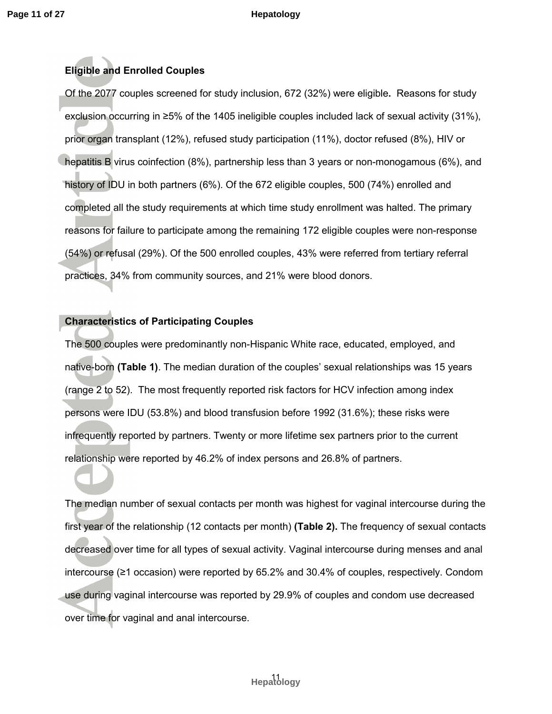## **Eligible and Enrolled Couples**

Of the 2077 couples screened for study inclusion, 672 (32%) were eligible**.** Reasons for study exclusion occurring in ≥5% of the 1405 ineligible couples included lack of sexual activity (31%), prior organ transplant (12%), refused study participation (11%), doctor refused (8%), HIV or hepatitis B virus coinfection (8%), partnership less than 3 years or non-monogamous (6%), and history of IDU in both partners (6%). Of the 672 eligible couples, 500 (74%) enrolled and completed all the study requirements at which time study enrollment was halted. The primary reasons for failure to participate among the remaining 172 eligible couples were non-response (54%) or refusal (29%). Of the 500 enrolled couples, 43% were referred from tertiary referral practices, 34% from community sources, and 21% were blood donors.

### **Characteristics of Participating Couples**

The 500 couples were predominantly non-Hispanic White race, educated, employed, and native-born **(Table 1)**. The median duration of the couples' sexual relationships was 15 years (range 2 to 52). The most frequently reported risk factors for HCV infection among index persons were IDU (53.8%) and blood transfusion before 1992 (31.6%); these risks were infrequently reported by partners. Twenty or more lifetime sex partners prior to the current relationship were reported by 46.2% of index persons and 26.8% of partners.

The median number of sexual contacts per month was highest for vaginal intercourse during the first year of the relationship (12 contacts per month) **(Table 2).** The frequency of sexual contacts decreased over time for all types of sexual activity. Vaginal intercourse during menses and anal intercourse (≥1 occasion) were reported by 65.2% and 30.4% of couples, respectively. Condom use during vaginal intercourse was reported by 29.9% of couples and condom use decreased over time for vaginal and anal intercourse.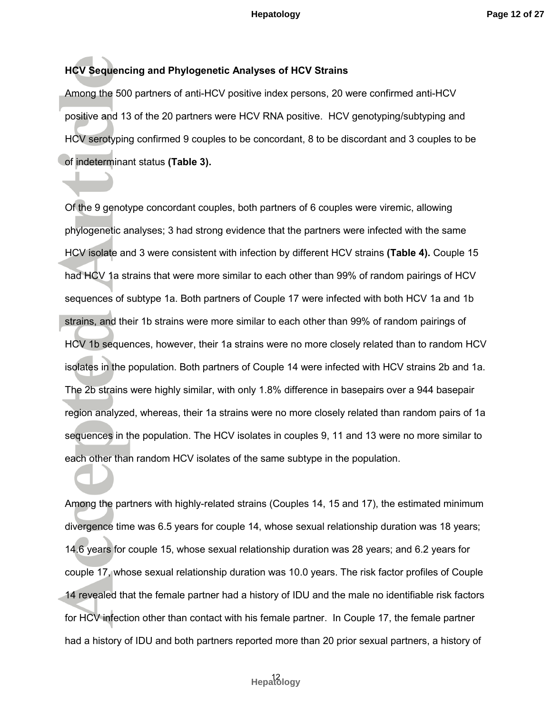## **HCV Sequencing and Phylogenetic Analyses of HCV Strains**

Among the 500 partners of anti-HCV positive index persons, 20 were confirmed anti-HCV positive and 13 of the 20 partners were HCV RNA positive. HCV genotyping/subtyping and HCV serotyping confirmed 9 couples to be concordant, 8 to be discordant and 3 couples to be of indeterminant status **(Table 3).**

Of the 9 genotype concordant couples, both partners of 6 couples were viremic, allowing phylogenetic analyses; 3 had strong evidence that the partners were infected with the same HCV isolate and 3 were consistent with infection by different HCV strains **(Table 4).** Couple 15 had HCV 1a strains that were more similar to each other than 99% of random pairings of HCV sequences of subtype 1a. Both partners of Couple 17 were infected with both HCV 1a and 1b strains, and their 1b strains were more similar to each other than 99% of random pairings of HCV 1b sequences, however, their 1a strains were no more closely related than to random HCV isolates in the population. Both partners of Couple 14 were infected with HCV strains 2b and 1a. The 2b strains were highly similar, with only 1.8% difference in basepairs over a 944 basepair region analyzed, whereas, their 1a strains were no more closely related than random pairs of 1a sequences in the population. The HCV isolates in couples 9, 11 and 13 were no more similar to each other than random HCV isolates of the same subtype in the population.

Among the partners with highly-related strains (Couples 14, 15 and 17), the estimated minimum divergence time was 6.5 years for couple 14, whose sexual relationship duration was 18 years; 14.6 years for couple 15, whose sexual relationship duration was 28 years; and 6.2 years for couple 17, whose sexual relationship duration was 10.0 years. The risk factor profiles of Couple 14 revealed that the female partner had a history of IDU and the male no identifiable risk factors for HCV infection other than contact with his female partner. In Couple 17, the female partner had a history of IDU and both partners reported more than 20 prior sexual partners, a history of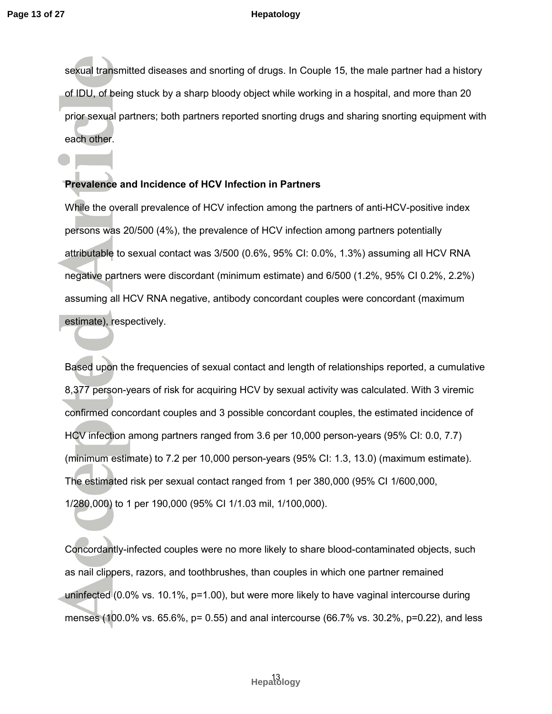sexual transmitted diseases and snorting of drugs. In Couple 15, the male partner had a history of IDU, of being stuck by a sharp bloody object while working in a hospital, and more than 20 prior sexual partners; both partners reported snorting drugs and sharing snorting equipment with each other.

## **Prevalence and Incidence of HCV Infection in Partners**

While the overall prevalence of HCV infection among the partners of anti-HCV-positive index persons was 20/500 (4%), the prevalence of HCV infection among partners potentially attributable to sexual contact was 3/500 (0.6%, 95% CI: 0.0%, 1.3%) assuming all HCV RNA negative partners were discordant (minimum estimate) and 6/500 (1.2%, 95% CI 0.2%, 2.2%) assuming all HCV RNA negative, antibody concordant couples were concordant (maximum estimate), respectively.

Based upon the frequencies of sexual contact and length of relationships reported, a cumulative 8,377 person-years of risk for acquiring HCV by sexual activity was calculated. With 3 viremic confirmed concordant couples and 3 possible concordant couples, the estimated incidence of HCV infection among partners ranged from 3.6 per 10,000 person-years (95% CI: 0.0, 7.7) (minimum estimate) to 7.2 per 10,000 person-years (95% CI: 1.3, 13.0) (maximum estimate). The estimated risk per sexual contact ranged from 1 per 380,000 (95% CI 1/600,000, 1/280,000) to 1 per 190,000 (95% CI 1/1.03 mil, 1/100,000).

Concordantly-infected couples were no more likely to share blood-contaminated objects, such as nail clippers, razors, and toothbrushes, than couples in which one partner remained uninfected (0.0% vs. 10.1%, p=1.00), but were more likely to have vaginal intercourse during menses (100.0% vs. 65.6%, p= 0.55) and anal intercourse (66.7% vs. 30.2%, p=0.22), and less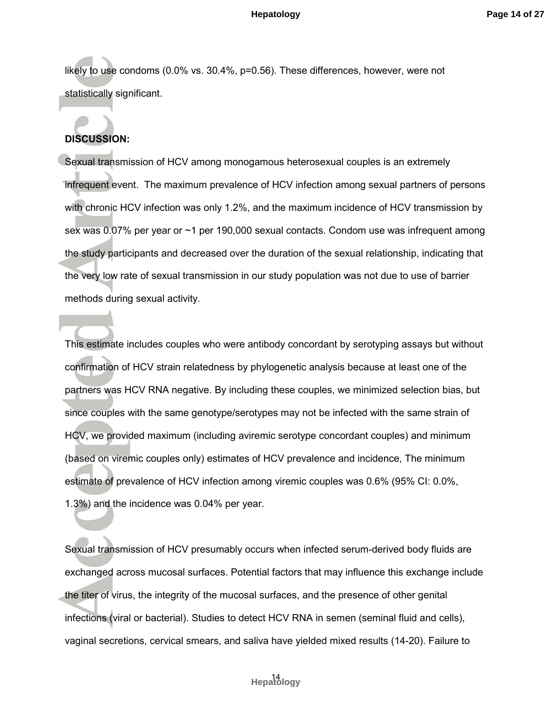likely to use condoms (0.0% vs. 30.4%, p=0.56). These differences, however, were not statistically significant.

## **DISCUSSION:**

Sexual transmission of HCV among monogamous heterosexual couples is an extremely infrequent event. The maximum prevalence of HCV infection among sexual partners of persons with chronic HCV infection was only 1.2%, and the maximum incidence of HCV transmission by sex was 0.07% per year or ~1 per 190,000 sexual contacts. Condom use was infrequent among the study participants and decreased over the duration of the sexual relationship, indicating that the very low rate of sexual transmission in our study population was not due to use of barrier methods during sexual activity.

This estimate includes couples who were antibody concordant by serotyping assays but without confirmation of HCV strain relatedness by phylogenetic analysis because at least one of the partners was HCV RNA negative. By including these couples, we minimized selection bias, but since couples with the same genotype/serotypes may not be infected with the same strain of HCV, we provided maximum (including aviremic serotype concordant couples) and minimum (based on viremic couples only) estimates of HCV prevalence and incidence, The minimum estimate of prevalence of HCV infection among viremic couples was 0.6% (95% CI: 0.0%, 1.3%) and the incidence was 0.04% per year.

Sexual transmission of HCV presumably occurs when infected serum-derived body fluids are exchanged across mucosal surfaces. Potential factors that may influence this exchange include the titer of virus, the integrity of the mucosal surfaces, and the presence of other genital infections (viral or bacterial). Studies to detect HCV RNA in semen (seminal fluid and cells), vaginal secretions, cervical smears, and saliva have yielded mixed results (14-20). Failure to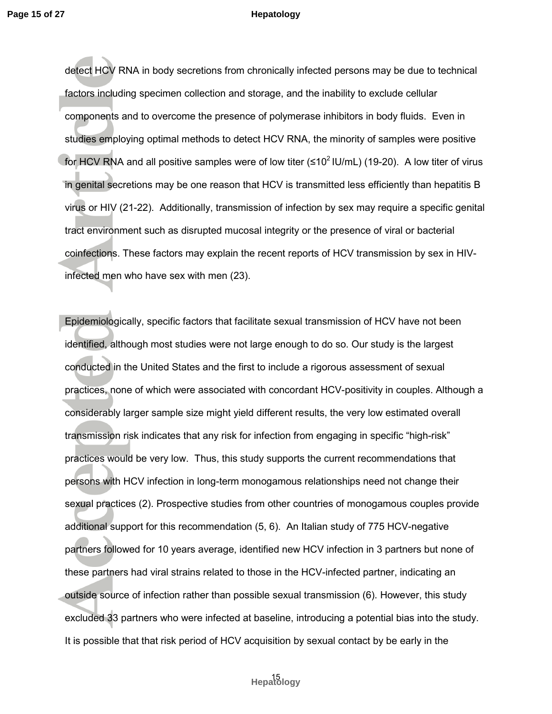detect HCV RNA in body secretions from chronically infected persons may be due to technical factors including specimen collection and storage, and the inability to exclude cellular components and to overcome the presence of polymerase inhibitors in body fluids. Even in studies employing optimal methods to detect HCV RNA, the minority of samples were positive for HCV RNA and all positive samples were of low titer ( $\leq 10^2$  IU/mL) (19-20). A low titer of virus in genital secretions may be one reason that HCV is transmitted less efficiently than hepatitis B virus or HIV (21-22). Additionally, transmission of infection by sex may require a specific genital tract environment such as disrupted mucosal integrity or the presence of viral or bacterial coinfections. These factors may explain the recent reports of HCV transmission by sex in HIVinfected men who have sex with men (23).

Epidemiologically, specific factors that facilitate sexual transmission of HCV have not been identified, although most studies were not large enough to do so. Our study is the largest conducted in the United States and the first to include a rigorous assessment of sexual practices, none of which were associated with concordant HCV-positivity in couples. Although a considerably larger sample size might yield different results, the very low estimated overall transmission risk indicates that any risk for infection from engaging in specific "high-risk" practices would be very low. Thus, this study supports the current recommendations that persons with HCV infection in long-term monogamous relationships need not change their sexual practices (2). Prospective studies from other countries of monogamous couples provide additional support for this recommendation (5, 6). An Italian study of 775 HCV-negative partners followed for 10 years average, identified new HCV infection in 3 partners but none of these partners had viral strains related to those in the HCV-infected partner, indicating an outside source of infection rather than possible sexual transmission (6). However, this study excluded 33 partners who were infected at baseline, introducing a potential bias into the study. It is possible that that risk period of HCV acquisition by sexual contact by be early in the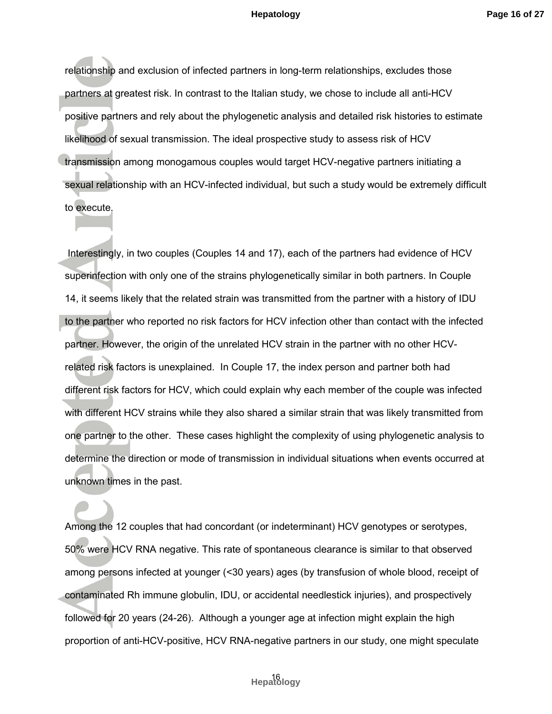relationship and exclusion of infected partners in long-term relationships, excludes those partners at greatest risk. In contrast to the Italian study, we chose to include all anti-HCV positive partners and rely about the phylogenetic analysis and detailed risk histories to estimate likelihood of sexual transmission. The ideal prospective study to assess risk of HCV transmission among monogamous couples would target HCV-negative partners initiating a sexual relationship with an HCV-infected individual, but such a study would be extremely difficult to execute.

 Interestingly, in two couples (Couples 14 and 17), each of the partners had evidence of HCV superinfection with only one of the strains phylogenetically similar in both partners. In Couple 14, it seems likely that the related strain was transmitted from the partner with a history of IDU to the partner who reported no risk factors for HCV infection other than contact with the infected partner. However, the origin of the unrelated HCV strain in the partner with no other HCVrelated risk factors is unexplained. In Couple 17, the index person and partner both had different risk factors for HCV, which could explain why each member of the couple was infected with different HCV strains while they also shared a similar strain that was likely transmitted from one partner to the other. These cases highlight the complexity of using phylogenetic analysis to determine the direction or mode of transmission in individual situations when events occurred at unknown times in the past.

Among the 12 couples that had concordant (or indeterminant) HCV genotypes or serotypes, 50% were HCV RNA negative. This rate of spontaneous clearance is similar to that observed among persons infected at younger (<30 years) ages (by transfusion of whole blood, receipt of contaminated Rh immune globulin, IDU, or accidental needlestick injuries), and prospectively followed for 20 years (24-26). Although a younger age at infection might explain the high proportion of anti-HCV-positive, HCV RNA-negative partners in our study, one might speculate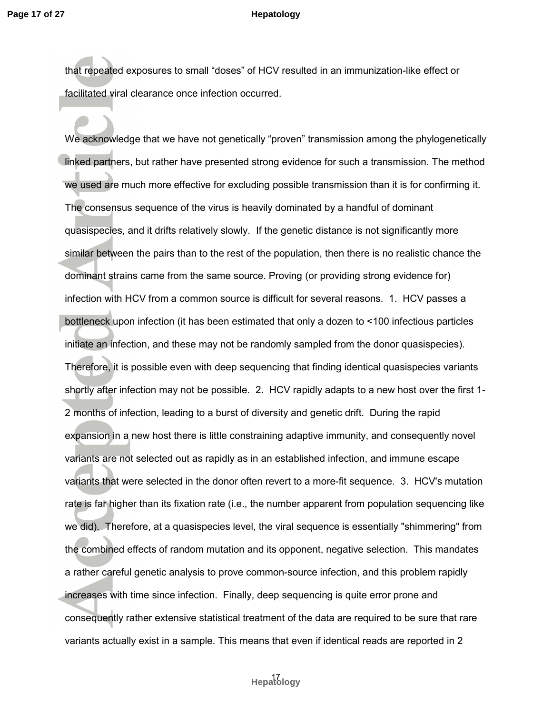that repeated exposures to small "doses" of HCV resulted in an immunization-like effect or facilitated viral clearance once infection occurred.

We acknowledge that we have not genetically "proven" transmission among the phylogenetically linked partners, but rather have presented strong evidence for such a transmission. The method we used are much more effective for excluding possible transmission than it is for confirming it. The consensus sequence of the virus is heavily dominated by a handful of dominant quasispecies, and it drifts relatively slowly. If the genetic distance is not significantly more similar between the pairs than to the rest of the population, then there is no realistic chance the dominant strains came from the same source. Proving (or providing strong evidence for) infection with HCV from a common source is difficult for several reasons. 1. HCV passes a bottleneck upon infection (it has been estimated that only a dozen to <100 infectious particles initiate an infection, and these may not be randomly sampled from the donor quasispecies). Therefore, it is possible even with deep sequencing that finding identical quasispecies variants shortly after infection may not be possible. 2. HCV rapidly adapts to a new host over the first 1- 2 months of infection, leading to a burst of diversity and genetic drift. During the rapid expansion in a new host there is little constraining adaptive immunity, and consequently novel variants are not selected out as rapidly as in an established infection, and immune escape variants that were selected in the donor often revert to a more-fit sequence. 3. HCV's mutation rate is far higher than its fixation rate (i.e., the number apparent from population sequencing like we did). Therefore, at a quasispecies level, the viral sequence is essentially "shimmering" from the combined effects of random mutation and its opponent, negative selection. This mandates a rather careful genetic analysis to prove common-source infection, and this problem rapidly increases with time since infection. Finally, deep sequencing is quite error prone and consequently rather extensive statistical treatment of the data are required to be sure that rare variants actually exist in a sample. This means that even if identical reads are reported in 2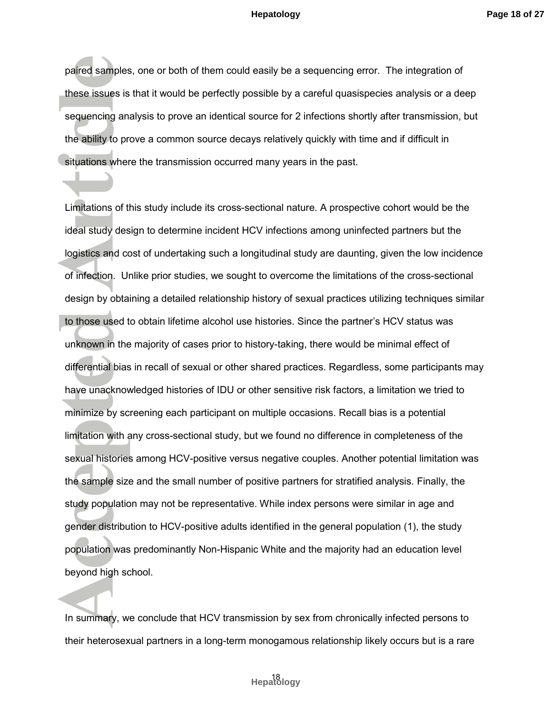paired samples, one or both of them could easily be a sequencing error. The integration of these issues is that it would be perfectly possible by a careful quasispecies analysis or a deep sequencing analysis to prove an identical source for 2 infections shortly after transmission, but the ability to prove a common source decays relatively quickly with time and if difficult in situations where the transmission occurred many years in the past.

Limitations of this study include its cross-sectional nature. A prospective cohort would be the ideal study design to determine incident HCV infections among uninfected partners but the logistics and cost of undertaking such a longitudinal study are daunting, given the low incidence of infection. Unlike prior studies, we sought to overcome the limitations of the cross-sectional design by obtaining a detailed relationship history of sexual practices utilizing techniques similar to those used to obtain lifetime alcohol use histories. Since the partner's HCV status was unknown in the majority of cases prior to history-taking, there would be minimal effect of differential bias in recall of sexual or other shared practices. Regardless, some participants may have unacknowledged histories of IDU or other sensitive risk factors, a limitation we tried to minimize by screening each participant on multiple occasions. Recall bias is a potential limitation with any cross-sectional study, but we found no difference in completeness of the sexual histories among HCV-positive versus negative couples. Another potential limitation was the sample size and the small number of positive partners for stratified analysis. Finally, the study population may not be representative. While index persons were similar in age and gender distribution to HCV-positive adults identified in the general population (1), the study population was predominantly Non-Hispanic White and the majority had an education level beyond high school.

In summary, we conclude that HCV transmission by sex from chronically infected persons to their heterosexual partners in a long-term monogamous relationship likely occurs but is a rare

## 18 **Hepatology**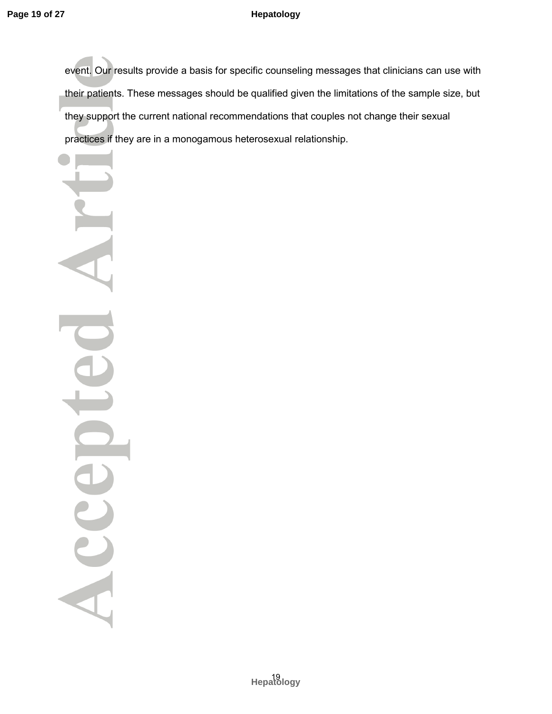event. Our results provide a basis for specific counseling messages that clinicians can use with their patients. These messages should be qualified given the limitations of the sample size, but they support the current national recommendations that couples not change their sexual practices if they are in a monogamous heterosexual relationship.

Acce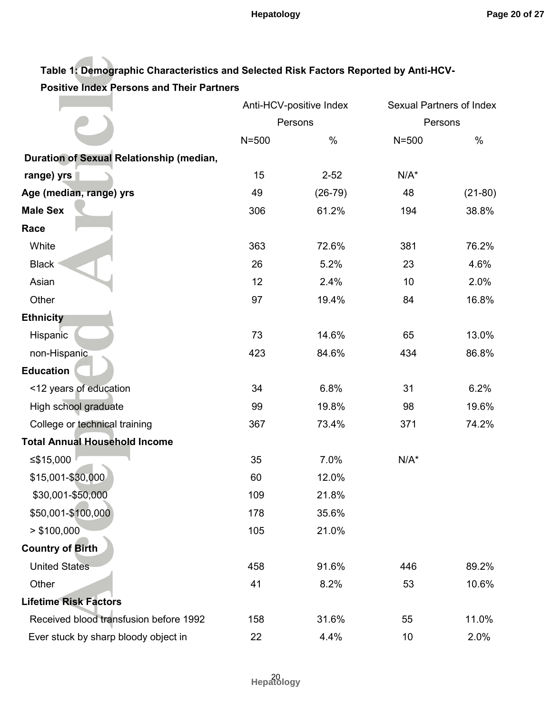## **Table 1: Demographic Characteristics and Selected Risk Factors Reported by Anti-HCV-Positive Index Persons and Their Partners**

|                                          | Anti-HCV-positive Index<br>Persons |           | Sexual Partners of Index |           |
|------------------------------------------|------------------------------------|-----------|--------------------------|-----------|
|                                          |                                    |           | Persons                  |           |
|                                          | $N = 500$                          | %         | $N = 500$                | $\%$      |
| Duration of Sexual Relationship (median, |                                    |           |                          |           |
| range) yrs                               | 15                                 | $2 - 52$  | $N/A^*$                  |           |
| Age (median, range) yrs                  | 49                                 | $(26-79)$ | 48                       | $(21-80)$ |
| <b>Male Sex</b>                          | 306                                | 61.2%     | 194                      | 38.8%     |
| Race                                     |                                    |           |                          |           |
| White                                    | 363                                | 72.6%     | 381                      | 76.2%     |
| <b>Black</b>                             | 26                                 | 5.2%      | 23                       | 4.6%      |
| Asian                                    | 12                                 | 2.4%      | 10                       | 2.0%      |
| Other                                    | 97                                 | 19.4%     | 84                       | 16.8%     |
| <b>Ethnicity</b>                         |                                    |           |                          |           |
| Hispanic                                 | 73                                 | 14.6%     | 65                       | 13.0%     |
| non-Hispanic                             | 423                                | 84.6%     | 434                      | 86.8%     |
| <b>Education</b>                         |                                    |           |                          |           |
| <12 years of education                   | 34                                 | 6.8%      | 31                       | 6.2%      |
| High school graduate                     | 99                                 | 19.8%     | 98                       | 19.6%     |
| College or technical training            | 367                                | 73.4%     | 371                      | 74.2%     |
| <b>Total Annual Household Income</b>     |                                    |           |                          |           |
| ≤ $$15,000$                              | 35                                 | 7.0%      | $N/A^*$                  |           |
| \$15,001-\$30,000                        | 60                                 | 12.0%     |                          |           |
| \$30,001-\$50,000                        | 109                                | 21.8%     |                          |           |
| \$50,001-\$100,000                       | 178                                | 35.6%     |                          |           |
| > \$100,000                              | 105                                | 21.0%     |                          |           |
| <b>Country of Birth</b>                  |                                    |           |                          |           |
| <b>United States</b>                     | 458                                | 91.6%     | 446                      | 89.2%     |
| Other                                    | 41                                 | 8.2%      | 53                       | 10.6%     |
| <b>Lifetime Risk Factors</b>             |                                    |           |                          |           |
| Received blood transfusion before 1992   | 158                                | 31.6%     | 55                       | 11.0%     |
| Ever stuck by sharp bloody object in     | 22                                 | 4.4%      | 10                       | 2.0%      |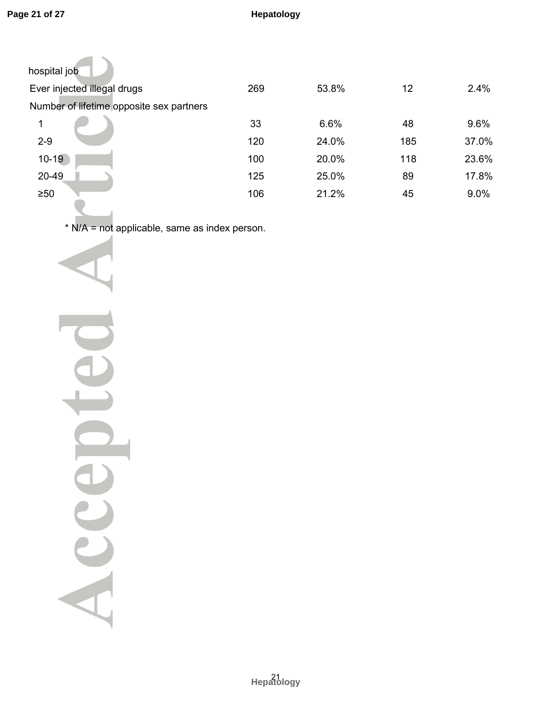| hospital job                             |     |       |     |       |
|------------------------------------------|-----|-------|-----|-------|
| Ever injected illegal drugs              | 269 | 53.8% | 12  | 2.4%  |
| Number of lifetime opposite sex partners |     |       |     |       |
| 1                                        | 33  | 6.6%  | 48  | 9.6%  |
| $2 - 9$                                  | 120 | 24.0% | 185 | 37.0% |
| $10 - 19$                                | 100 | 20.0% | 118 | 23.6% |
| 20-49                                    | 125 | 25.0% | 89  | 17.8% |
| $\geq 50$                                | 106 | 21.2% | 45  | 9.0%  |
|                                          |     |       |     |       |

\* N/A = not applicable, same as index person.

Acce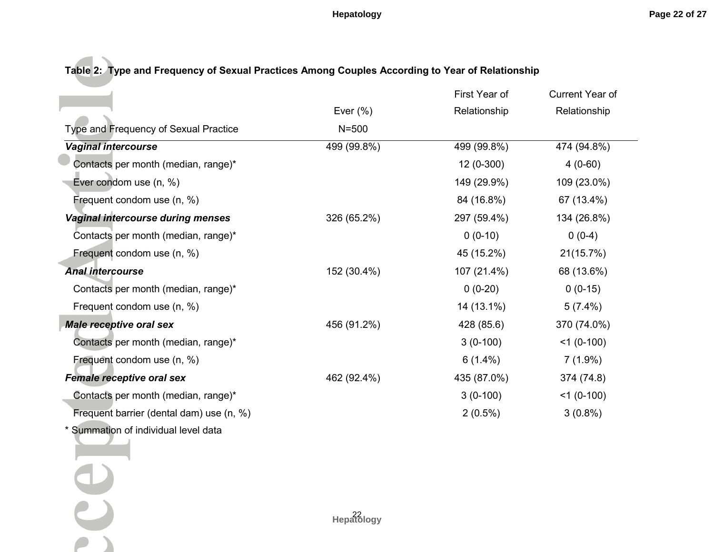**Table 2: Type and Frequency of Sexual Practices Among Couples According to Year of Relationship** 

|                                          |             | First Year of | Current Year of |
|------------------------------------------|-------------|---------------|-----------------|
|                                          | Ever $(\%)$ | Relationship  | Relationship    |
| Type and Frequency of Sexual Practice    | $N = 500$   |               |                 |
| <b>Vaginal intercourse</b>               | 499 (99.8%) | 499 (99.8%)   | 474 (94.8%)     |
| Contacts per month (median, range)*      |             | $12(0-300)$   | $4(0-60)$       |
| Ever condom use (n, %)                   |             | 149 (29.9%)   | 109 (23.0%)     |
| Frequent condom use (n, %)               |             | 84 (16.8%)    | 67 (13.4%)      |
| Vaginal intercourse during menses        | 326 (65.2%) | 297 (59.4%)   | 134 (26.8%)     |
| Contacts per month (median, range)*      |             | $0(0-10)$     | $0(0-4)$        |
| Frequent condom use (n, %)               |             | 45 (15.2%)    | 21(15.7%)       |
| <b>Anal intercourse</b>                  | 152 (30.4%) | 107 (21.4%)   | 68 (13.6%)      |
| Contacts per month (median, range)*      |             | $0(0-20)$     | $0(0-15)$       |
| Frequent condom use (n, %)               |             | 14 (13.1%)    | $5(7.4\%)$      |
| <b>Male receptive oral sex</b>           | 456 (91.2%) | 428 (85.6)    | 370 (74.0%)     |
| Contacts per month (median, range)*      |             | $3(0-100)$    | $<$ 1 (0-100)   |
| Frequent condom use (n, %)               |             | $6(1.4\%)$    | $7(1.9\%)$      |
| <b>Female receptive oral sex</b>         | 462 (92.4%) | 435 (87.0%)   | 374 (74.8)      |
| Contacts per month (median, range)*      |             | $3(0-100)$    | $<$ 1 (0-100)   |
| Frequent barrier (dental dam) use (n, %) |             | $2(0.5\%)$    | $3(0.8\%)$      |
| * Summation of individual level data     |             |               |                 |

Ce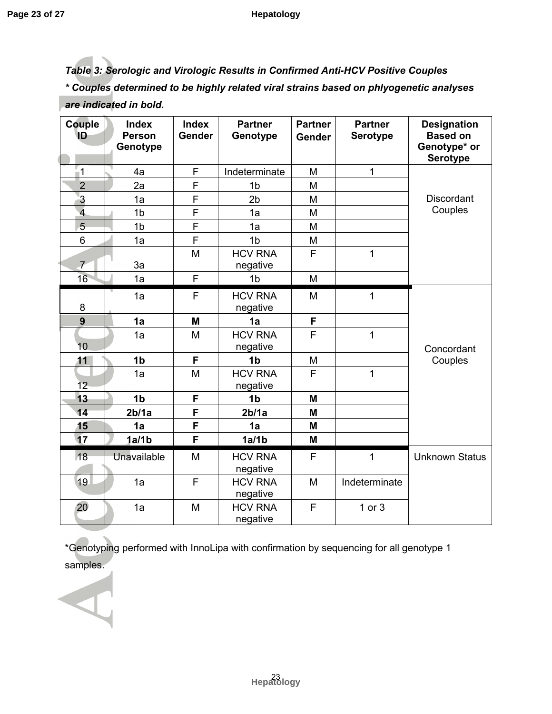*Table 3: Serologic and Virologic Results in Confirmed Anti-HCV Positive Couples \* Couples determined to be highly related viral strains based on phlyogenetic analyses are indicated in bold.* 

| Couple<br>ID            | <b>Index</b><br><b>Person</b><br>Genotype | <b>Index</b><br><b>Gender</b> | <b>Partner</b><br>Genotype | <b>Partner</b><br><b>Gender</b> | <b>Partner</b><br><b>Serotype</b> | <b>Designation</b><br><b>Based on</b><br>Genotype* or<br><b>Serotype</b> |
|-------------------------|-------------------------------------------|-------------------------------|----------------------------|---------------------------------|-----------------------------------|--------------------------------------------------------------------------|
| $\overline{\mathbf{1}}$ | 4a                                        | F                             | Indeterminate              | M                               | $\mathbf{1}$                      |                                                                          |
| $\overline{2}$          | 2a                                        | F                             | 1 <sub>b</sub>             | M                               |                                   |                                                                          |
| $\overline{3}$          | 1a                                        | F                             | 2 <sub>b</sub>             | M                               |                                   | <b>Discordant</b>                                                        |
| $\overline{4}$          | 1 <sub>b</sub>                            | F                             | 1a                         | M                               |                                   | Couples                                                                  |
| 5                       | 1 <sub>b</sub>                            | F                             | 1a                         | M                               |                                   |                                                                          |
| 6                       | 1a                                        | F                             | 1 <sub>b</sub>             | M                               |                                   |                                                                          |
| $\overline{7}$          | 3a                                        | M                             | <b>HCV RNA</b><br>negative | F                               | $\mathbf{1}$                      |                                                                          |
| 16                      | 1a                                        | F                             | 1 <sub>b</sub>             | M                               |                                   |                                                                          |
| 8                       | 1a                                        | F                             | <b>HCV RNA</b><br>negative | M                               | $\mathbf{1}$                      |                                                                          |
| 9                       | 1a                                        | M                             | 1a                         | F                               |                                   |                                                                          |
| 10 <sup>10</sup>        | 1a                                        | M                             | <b>HCV RNA</b><br>negative | F                               | $\overline{1}$                    | Concordant                                                               |
| 11                      | 1 <sub>b</sub>                            | F                             | 1 <sub>b</sub>             | M                               |                                   | Couples                                                                  |
| 12 <sup>2</sup>         | 1a                                        | M                             | <b>HCV RNA</b><br>negative | F                               | $\mathbf{1}$                      |                                                                          |
| 13                      | 1 <sub>b</sub>                            | F                             | 1 <sub>b</sub>             | M                               |                                   |                                                                          |
| 14                      | 2b/1a                                     | F                             | 2 <sub>b</sub> /1a         | M                               |                                   |                                                                          |
| 15                      | 1a                                        | F                             | 1a                         | M                               |                                   |                                                                          |
| 17                      | 1a/1b                                     | F                             | 1a/1b                      | M                               |                                   |                                                                          |
| <b>18</b>               | Unavailable                               | M                             | <b>HCV RNA</b><br>negative | F                               | 1                                 | <b>Unknown Status</b>                                                    |
| 19                      | 1a                                        | F                             | <b>HCV RNA</b><br>negative | M                               | Indeterminate                     |                                                                          |
| 20                      | 1a                                        | M                             | <b>HCV RNA</b><br>negative | F                               | 1 or 3                            |                                                                          |

\*Genotyping performed with InnoLipa with confirmation by sequencing for all genotype 1 samples.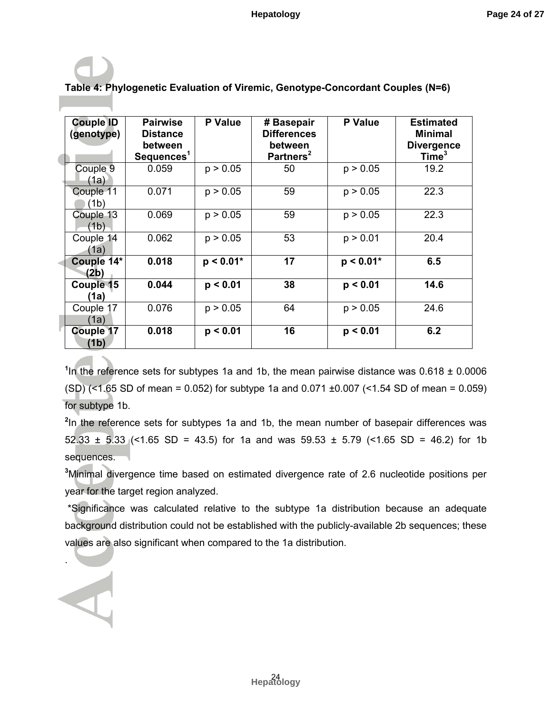| <b>Couple ID</b><br>(genotype) | <b>Pairwise</b><br><b>Distance</b><br>between<br>Sequences <sup>1</sup> | <b>P</b> Value | # Basepair<br><b>Differences</b><br>between<br>Partners <sup>2</sup> | <b>P</b> Value | <b>Estimated</b><br><b>Minimal</b><br><b>Divergence</b><br>Time <sup>3</sup> |
|--------------------------------|-------------------------------------------------------------------------|----------------|----------------------------------------------------------------------|----------------|------------------------------------------------------------------------------|
| Couple 9<br>(1a)               | 0.059                                                                   | p > 0.05       | 50                                                                   | p > 0.05       | 19.2                                                                         |
| Couple 11<br>(1b)              | 0.071                                                                   | p > 0.05       | 59                                                                   | p > 0.05       | 22.3                                                                         |
| Couple 13<br>(1b)              | 0.069                                                                   | p > 0.05       | 59                                                                   | p > 0.05       | 22.3                                                                         |
| Couple 14<br>(1a)              | 0.062                                                                   | p > 0.05       | 53                                                                   | p > 0.01       | 20.4                                                                         |
| Couple 14*<br>(2b)             | 0.018                                                                   | $p < 0.01*$    | 17                                                                   | $p < 0.01*$    | 6.5                                                                          |
| Couple 15<br>(1a)              | 0.044                                                                   | p < 0.01       | 38                                                                   | p < 0.01       | 14.6                                                                         |
| Couple 17<br>(1a)              | 0.076                                                                   | p > 0.05       | 64                                                                   | p > 0.05       | 24.6                                                                         |
| <b>Couple 17</b><br>(1b)       | 0.018                                                                   | p < 0.01       | 16                                                                   | p < 0.01       | 6.2                                                                          |

# **Table 4: Phylogenetic Evaluation of Viremic, Genotype-Concordant Couples (N=6)**

<sup>1</sup>In the reference sets for subtypes 1a and 1b, the mean pairwise distance was 0.618 ± 0.0006 (SD) (<1.65 SD of mean = 0.052) for subtype 1a and 0.071 ±0.007 (<1.54 SD of mean = 0.059) for subtype 1b.

**2** In the reference sets for subtypes 1a and 1b, the mean number of basepair differences was 52.33  $\pm$  5.33 (<1.65 SD = 43.5) for 1a and was 59.53  $\pm$  5.79 (<1.65 SD = 46.2) for 1b sequences.

**<sup>3</sup>**Minimal divergence time based on estimated divergence rate of 2.6 nucleotide positions per year for the target region analyzed.

 \*Significance was calculated relative to the subtype 1a distribution because an adequate background distribution could not be established with the publicly-available 2b sequences; these values are also significant when compared to the 1a distribution.

.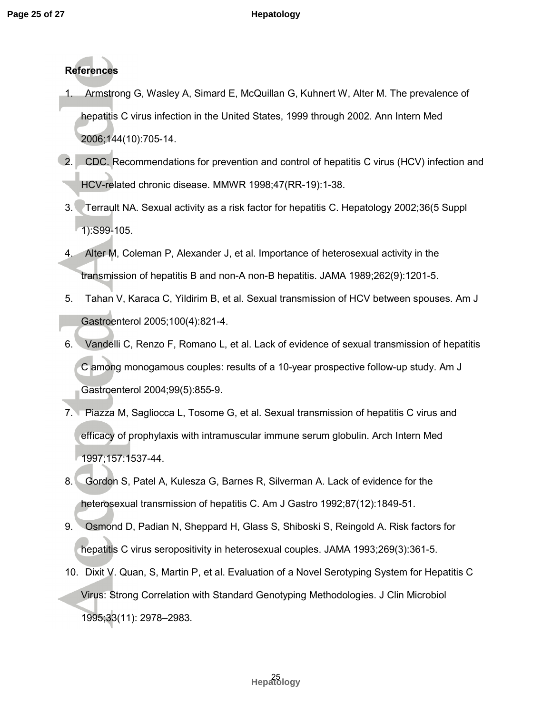## **References**

- 1. Armstrong G, Wasley A, Simard E, McQuillan G, Kuhnert W, Alter M. The prevalence of hepatitis C virus infection in the United States, 1999 through 2002. Ann Intern Med 2006;144(10):705-14.
- 2. CDC. Recommendations for prevention and control of hepatitis C virus (HCV) infection and HCV-related chronic disease. MMWR 1998;47(RR-19):1-38.
- 3. Terrault NA. Sexual activity as a risk factor for hepatitis C. Hepatology 2002;36(5 Suppl 1):S99-105.
- 4. Alter M, Coleman P, Alexander J, et al. Importance of heterosexual activity in the transmission of hepatitis B and non-A non-B hepatitis. JAMA 1989;262(9):1201-5.
- 5. Tahan V, Karaca C, Yildirim B, et al. Sexual transmission of HCV between spouses. Am J Gastroenterol 2005;100(4):821-4.
- 6. Vandelli C, Renzo F, Romano L, et al. Lack of evidence of sexual transmission of hepatitis C among monogamous couples: results of a 10-year prospective follow-up study. Am J Gastroenterol 2004;99(5):855-9.
- 7. Piazza M, Sagliocca L, Tosome G, et al. Sexual transmission of hepatitis C virus and efficacy of prophylaxis with intramuscular immune serum globulin. Arch Intern Med 1997;157:1537-44.
- 8. Gordon S, Patel A, Kulesza G, Barnes R, Silverman A. Lack of evidence for the heterosexual transmission of hepatitis C. Am J Gastro 1992;87(12):1849-51.
- 9. Osmond D, Padian N, Sheppard H, Glass S, Shiboski S, Reingold A. Risk factors for hepatitis C virus seropositivity in heterosexual couples. JAMA 1993;269(3):361-5.
- 10. Dixit V. Quan, S, Martin P, et al. Evaluation of a Novel Serotyping System for Hepatitis C Virus: Strong Correlation with Standard Genotyping Methodologies. J Clin Microbiol 1995;33(11): 2978–2983.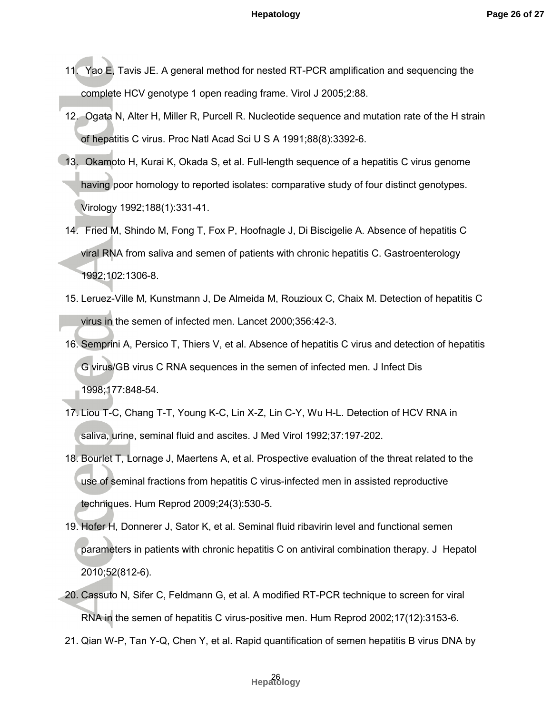- 11. Yao E, Tavis JE. A general method for nested RT-PCR amplification and sequencing the complete HCV genotype 1 open reading frame. Virol J 2005;2:88.
- 12. Ogata N, Alter H, Miller R, Purcell R. Nucleotide sequence and mutation rate of the H strain of hepatitis C virus. Proc Natl Acad Sci U S A 1991;88(8):3392-6.
- 13. Okamoto H, Kurai K, Okada S, et al. Full-length sequence of a hepatitis C virus genome having poor homology to reported isolates: comparative study of four distinct genotypes. Virology 1992;188(1):331-41.
- 14. Fried M, Shindo M, Fong T, Fox P, Hoofnagle J, Di Biscigelie A. Absence of hepatitis C viral RNA from saliva and semen of patients with chronic hepatitis C. Gastroenterology 1992;102:1306-8.
- 15. Leruez-Ville M, Kunstmann J, De Almeida M, Rouzioux C, Chaix M. Detection of hepatitis C virus in the semen of infected men. Lancet 2000;356:42-3.
- 16. Semprini A, Persico T, Thiers V, et al. Absence of hepatitis C virus and detection of hepatitis G virus/GB virus C RNA sequences in the semen of infected men. J Infect Dis 1998;177:848-54.
- 17. Liou T-C, Chang T-T, Young K-C, Lin X-Z, Lin C-Y, Wu H-L. Detection of HCV RNA in saliva, urine, seminal fluid and ascites. J Med Virol 1992;37:197-202.
- 18. Bourlet T, Lornage J, Maertens A, et al. Prospective evaluation of the threat related to the use of seminal fractions from hepatitis C virus-infected men in assisted reproductive techniques. Hum Reprod 2009;24(3):530-5.
- 19. Hofer H, Donnerer J, Sator K, et al. Seminal fluid ribavirin level and functional semen parameters in patients with chronic hepatitis C on antiviral combination therapy. J Hepatol 2010;52(812-6).
- 20. Cassuto N, Sifer C, Feldmann G, et al. A modified RT-PCR technique to screen for viral RNA in the semen of hepatitis C virus-positive men. Hum Reprod 2002;17(12):3153-6.
- 21. Qian W-P, Tan Y-Q, Chen Y, et al. Rapid quantification of semen hepatitis B virus DNA by